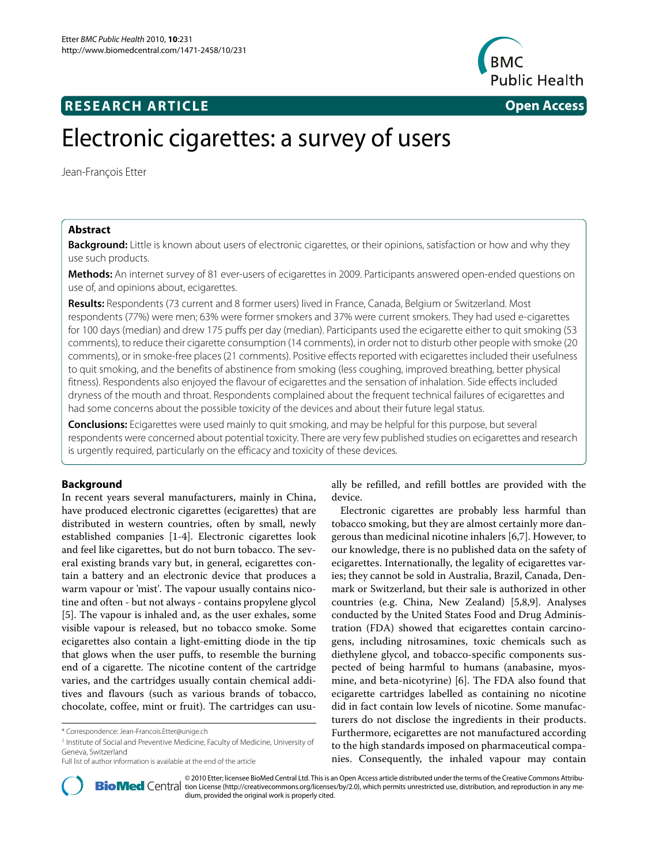## **RESEARCH ARTICLE Open Access**



# Electronic cigarettes: a survey of users

Jean-François Etter

## **Abstract**

**Background:** Little is known about users of electronic cigarettes, or their opinions, satisfaction or how and why they use such products.

**Methods:** An internet survey of 81 ever-users of ecigarettes in 2009. Participants answered open-ended questions on use of, and opinions about, ecigarettes.

**Results:** Respondents (73 current and 8 former users) lived in France, Canada, Belgium or Switzerland. Most respondents (77%) were men; 63% were former smokers and 37% were current smokers. They had used e-cigarettes for 100 days (median) and drew 175 puffs per day (median). Participants used the ecigarette either to quit smoking (53 comments), to reduce their cigarette consumption (14 comments), in order not to disturb other people with smoke (20 comments), or in smoke-free places (21 comments). Positive effects reported with ecigarettes included their usefulness to quit smoking, and the benefits of abstinence from smoking (less coughing, improved breathing, better physical fitness). Respondents also enjoyed the flavour of ecigarettes and the sensation of inhalation. Side effects included dryness of the mouth and throat. Respondents complained about the frequent technical failures of ecigarettes and had some concerns about the possible toxicity of the devices and about their future legal status.

**Conclusions:** Ecigarettes were used mainly to quit smoking, and may be helpful for this purpose, but several respondents were concerned about potential toxicity. There are very few published studies on ecigarettes and research is urgently required, particularly on the efficacy and toxicity of these devices.

## **Background**

In recent years several manufacturers, mainly in China, have produced electronic cigarettes (ecigarettes) that are distributed in western countries, often by small, newly established companies [[1-](#page-6-0)[4\]](#page-6-1). Electronic cigarettes look and feel like cigarettes, but do not burn tobacco. The several existing brands vary but, in general, ecigarettes contain a battery and an electronic device that produces a warm vapour or 'mist'. The vapour usually contains nicotine and often - but not always - contains propylene glycol [[5\]](#page-6-2). The vapour is inhaled and, as the user exhales, some visible vapour is released, but no tobacco smoke. Some ecigarettes also contain a light-emitting diode in the tip that glows when the user puffs, to resemble the burning end of a cigarette. The nicotine content of the cartridge varies, and the cartridges usually contain chemical additives and flavours (such as various brands of tobacco, chocolate, coffee, mint or fruit). The cartridges can usually be refilled, and refill bottles are provided with the device.

Electronic cigarettes are probably less harmful than tobacco smoking, but they are almost certainly more dangerous than medicinal nicotine inhalers [\[6](#page-6-3)[,7](#page-6-4)]. However, to our knowledge, there is no published data on the safety of ecigarettes. Internationally, the legality of ecigarettes varies; they cannot be sold in Australia, Brazil, Canada, Denmark or Switzerland, but their sale is authorized in other countries (e.g. China, New Zealand) [\[5](#page-6-2),[8](#page-6-5),[9\]](#page-6-6). Analyses conducted by the United States Food and Drug Administration (FDA) showed that ecigarettes contain carcinogens, including nitrosamines, toxic chemicals such as diethylene glycol, and tobacco-specific components suspected of being harmful to humans (anabasine, myosmine, and beta-nicotyrine) [\[6](#page-6-3)]. The FDA also found that ecigarette cartridges labelled as containing no nicotine did in fact contain low levels of nicotine. Some manufacturers do not disclose the ingredients in their products. Furthermore, ecigarettes are not manufactured according to the high standards imposed on pharmaceutical companies. Consequently, the inhaled vapour may contain



© 2010 Etter; licensee [BioMed](http://www.biomedcentral.com/) Central Ltd. This is an Open Access article distributed under the terms of the Creative Commons Attribu-<br>Pio Med Central tion License (http://creativecommons.org/licenses/by/2.0), which permit dium, provided the original work is properly cited.

<sup>\*</sup> Correspondence: Jean-Francois.Etter@unige.ch

<sup>1</sup> Institute of Social and Preventive Medicine, Faculty of Medicine, University of Geneva, Switzerland

Full list of author information is available at the end of the article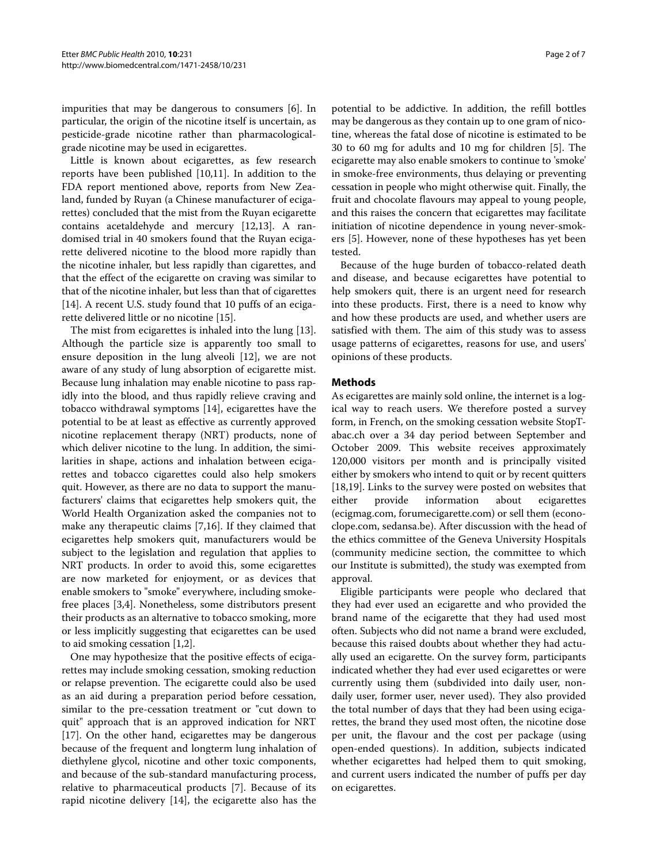impurities that may be dangerous to consumers [\[6](#page-6-3)]. In particular, the origin of the nicotine itself is uncertain, as pesticide-grade nicotine rather than pharmacologicalgrade nicotine may be used in ecigarettes.

Little is known about ecigarettes, as few research reports have been published [[10](#page-6-7),[11](#page-6-8)]. In addition to the FDA report mentioned above, reports from New Zealand, funded by Ruyan (a Chinese manufacturer of ecigarettes) concluded that the mist from the Ruyan ecigarette contains acetaldehyde and mercury [\[12](#page-6-9)[,13\]](#page-6-10). A randomised trial in 40 smokers found that the Ruyan ecigarette delivered nicotine to the blood more rapidly than the nicotine inhaler, but less rapidly than cigarettes, and that the effect of the ecigarette on craving was similar to that of the nicotine inhaler, but less than that of cigarettes [[14\]](#page-6-11). A recent U.S. study found that 10 puffs of an ecigarette delivered little or no nicotine [[15](#page-6-12)].

The mist from ecigarettes is inhaled into the lung [\[13](#page-6-10)]. Although the particle size is apparently too small to ensure deposition in the lung alveoli [[12](#page-6-9)], we are not aware of any study of lung absorption of ecigarette mist. Because lung inhalation may enable nicotine to pass rapidly into the blood, and thus rapidly relieve craving and tobacco withdrawal symptoms [[14\]](#page-6-11), ecigarettes have the potential to be at least as effective as currently approved nicotine replacement therapy (NRT) products, none of which deliver nicotine to the lung. In addition, the similarities in shape, actions and inhalation between ecigarettes and tobacco cigarettes could also help smokers quit. However, as there are no data to support the manufacturers' claims that ecigarettes help smokers quit, the World Health Organization asked the companies not to make any therapeutic claims [\[7](#page-6-4),[16](#page-6-13)]. If they claimed that ecigarettes help smokers quit, manufacturers would be subject to the legislation and regulation that applies to NRT products. In order to avoid this, some ecigarettes are now marketed for enjoyment, or as devices that enable smokers to "smoke" everywhere, including smokefree places [\[3](#page-6-14)[,4](#page-6-1)]. Nonetheless, some distributors present their products as an alternative to tobacco smoking, more or less implicitly suggesting that ecigarettes can be used to aid smoking cessation [[1,](#page-6-0)[2\]](#page-6-15).

One may hypothesize that the positive effects of ecigarettes may include smoking cessation, smoking reduction or relapse prevention. The ecigarette could also be used as an aid during a preparation period before cessation, similar to the pre-cessation treatment or "cut down to quit" approach that is an approved indication for NRT [[17\]](#page-6-16). On the other hand, ecigarettes may be dangerous because of the frequent and longterm lung inhalation of diethylene glycol, nicotine and other toxic components, and because of the sub-standard manufacturing process, relative to pharmaceutical products [[7\]](#page-6-4). Because of its rapid nicotine delivery [\[14\]](#page-6-11), the ecigarette also has the

potential to be addictive. In addition, the refill bottles may be dangerous as they contain up to one gram of nicotine, whereas the fatal dose of nicotine is estimated to be 30 to 60 mg for adults and 10 mg for children [\[5](#page-6-2)]. The ecigarette may also enable smokers to continue to 'smoke' in smoke-free environments, thus delaying or preventing cessation in people who might otherwise quit. Finally, the fruit and chocolate flavours may appeal to young people, and this raises the concern that ecigarettes may facilitate initiation of nicotine dependence in young never-smokers [\[5\]](#page-6-2). However, none of these hypotheses has yet been tested.

Because of the huge burden of tobacco-related death and disease, and because ecigarettes have potential to help smokers quit, there is an urgent need for research into these products. First, there is a need to know why and how these products are used, and whether users are satisfied with them. The aim of this study was to assess usage patterns of ecigarettes, reasons for use, and users' opinions of these products.

#### **Methods**

As ecigarettes are mainly sold online, the internet is a logical way to reach users. We therefore posted a survey form, in French, on the smoking cessation website StopTabac.ch over a 34 day period between September and October 2009. This website receives approximately 120,000 visitors per month and is principally visited either by smokers who intend to quit or by recent quitters [[18,](#page-6-17)[19\]](#page-6-18). Links to the survey were posted on websites that either provide information about ecigarettes (ecigmag.com, forumecigarette.com) or sell them (econoclope.com, sedansa.be). After discussion with the head of the ethics committee of the Geneva University Hospitals (community medicine section, the committee to which our Institute is submitted), the study was exempted from approval.

Eligible participants were people who declared that they had ever used an ecigarette and who provided the brand name of the ecigarette that they had used most often. Subjects who did not name a brand were excluded, because this raised doubts about whether they had actually used an ecigarette. On the survey form, participants indicated whether they had ever used ecigarettes or were currently using them (subdivided into daily user, nondaily user, former user, never used). They also provided the total number of days that they had been using ecigarettes, the brand they used most often, the nicotine dose per unit, the flavour and the cost per package (using open-ended questions). In addition, subjects indicated whether ecigarettes had helped them to quit smoking, and current users indicated the number of puffs per day on ecigarettes.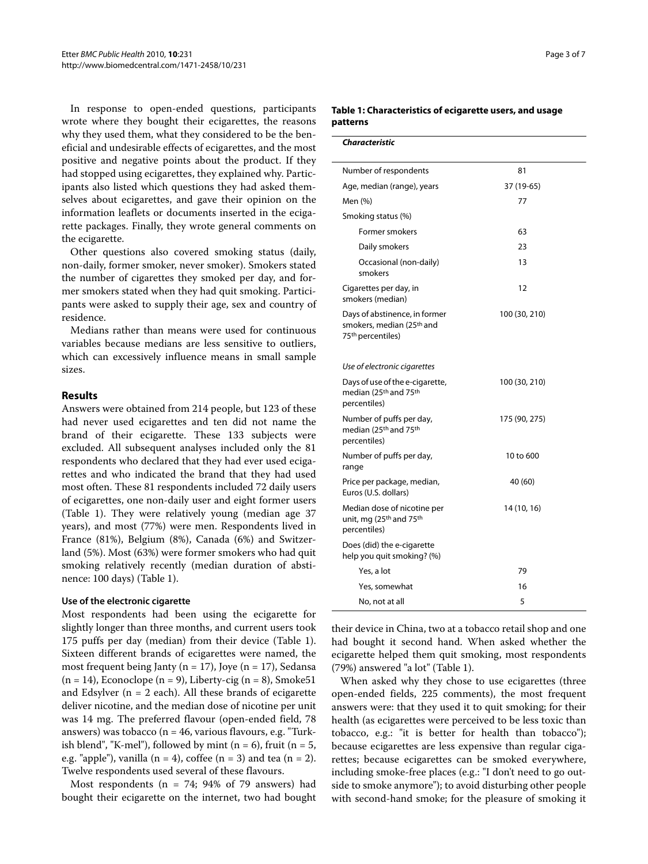In response to open-ended questions, participants wrote where they bought their ecigarettes, the reasons why they used them, what they considered to be the beneficial and undesirable effects of ecigarettes, and the most positive and negative points about the product. If they had stopped using ecigarettes, they explained why. Participants also listed which questions they had asked themselves about ecigarettes, and gave their opinion on the information leaflets or documents inserted in the ecigarette packages. Finally, they wrote general comments on the ecigarette.

Other questions also covered smoking status (daily, non-daily, former smoker, never smoker). Smokers stated the number of cigarettes they smoked per day, and former smokers stated when they had quit smoking. Participants were asked to supply their age, sex and country of residence.

Medians rather than means were used for continuous variables because medians are less sensitive to outliers, which can excessively influence means in small sample sizes.

## **Results**

Answers were obtained from 214 people, but 123 of these had never used ecigarettes and ten did not name the brand of their ecigarette. These 133 subjects were excluded. All subsequent analyses included only the 81 respondents who declared that they had ever used ecigarettes and who indicated the brand that they had used most often. These 81 respondents included 72 daily users of ecigarettes, one non-daily user and eight former users (Table 1). They were relatively young (median age 37 years), and most (77%) were men. Respondents lived in France (81%), Belgium (8%), Canada (6%) and Switzerland (5%). Most (63%) were former smokers who had quit smoking relatively recently (median duration of abstinence: 100 days) (Table 1).

#### **Use of the electronic cigarette**

Most respondents had been using the ecigarette for slightly longer than three months, and current users took 175 puffs per day (median) from their device (Table 1). Sixteen different brands of ecigarettes were named, the most frequent being Janty ( $n = 17$ ), Joye ( $n = 17$ ), Sedansa  $(n = 14)$ , Econoclope  $(n = 9)$ , Liberty-cig  $(n = 8)$ , Smoke51 and Edsylver  $(n = 2$  each). All these brands of ecigarette deliver nicotine, and the median dose of nicotine per unit was 14 mg. The preferred flavour (open-ended field, 78 answers) was tobacco ( $n = 46$ , various flavours, e.g. "Turkish blend", "K-mel"), followed by mint ( $n = 6$ ), fruit ( $n = 5$ , e.g. "apple"), vanilla ( $n = 4$ ), coffee ( $n = 3$ ) and tea ( $n = 2$ ). Twelve respondents used several of these flavours.

Most respondents ( $n = 74$ ; 94% of 79 answers) had bought their ecigarette on the internet, two had bought

#### <span id="page-2-0"></span>**Table 1: Characteristics of ecigarette users, and usage patterns**

| Characteristic                                                                                          |               |
|---------------------------------------------------------------------------------------------------------|---------------|
| Number of respondents                                                                                   | 81            |
| Age, median (range), years                                                                              | 37 (19-65)    |
| Men (%)                                                                                                 | 77            |
| Smoking status (%)                                                                                      |               |
| Former smokers                                                                                          | 63            |
| Daily smokers                                                                                           | 23            |
| Occasional (non-daily)<br>smokers                                                                       | 13            |
| Cigarettes per day, in<br>smokers (median)                                                              | 12            |
| Days of abstinence, in former<br>smokers, median (25 <sup>th</sup> and<br>75 <sup>th</sup> percentiles) | 100 (30, 210) |
| Use of electronic cigarettes                                                                            |               |
| Days of use of the e-cigarette,<br>median (25th and 75th<br>percentiles)                                | 100 (30, 210) |
| Number of puffs per day,<br>median (25 <sup>th</sup> and 75 <sup>th</sup><br>percentiles)               | 175 (90, 275) |
| Number of puffs per day,<br>range                                                                       | 10 to 600     |
| Price per package, median,<br>Euros (U.S. dollars)                                                      | 40 (60)       |
| Median dose of nicotine per<br>unit, mg (25 <sup>th</sup> and 75 <sup>th</sup><br>percentiles)          | 14 (10, 16)   |
| Does (did) the e-cigarette<br>help you quit smoking? (%)                                                |               |
| Yes, a lot                                                                                              | 79            |
| Yes, somewhat                                                                                           | 16            |
| No, not at all                                                                                          | 5             |

their device in China, two at a tobacco retail shop and one had bought it second hand. When asked whether the ecigarette helped them quit smoking, most respondents (79%) answered "a lot" (Table [1](#page-2-0)).

When asked why they chose to use ecigarettes (three open-ended fields, 225 comments), the most frequent answers were: that they used it to quit smoking; for their health (as ecigarettes were perceived to be less toxic than tobacco, e.g.: "it is better for health than tobacco"); because ecigarettes are less expensive than regular cigarettes; because ecigarettes can be smoked everywhere, including smoke-free places (e.g.: "I don't need to go outside to smoke anymore"); to avoid disturbing other people with second-hand smoke; for the pleasure of smoking it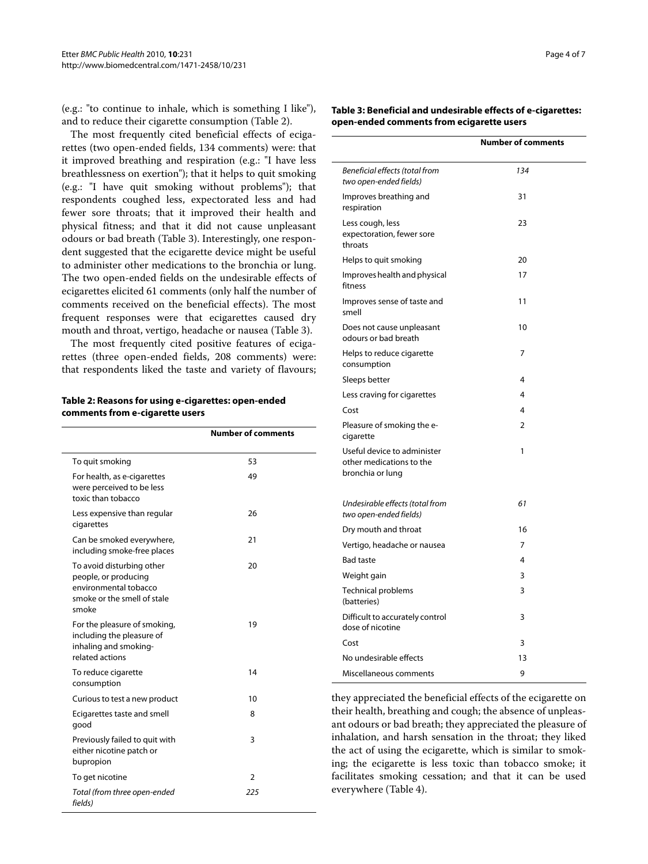(e.g.: "to continue to inhale, which is something I like"), and to reduce their cigarette consumption (Table 2).

The most frequently cited beneficial effects of ecigarettes (two open-ended fields, 134 comments) were: that it improved breathing and respiration (e.g.: "I have less breathlessness on exertion"); that it helps to quit smoking (e.g.: "I have quit smoking without problems"); that respondents coughed less, expectorated less and had fewer sore throats; that it improved their health and physical fitness; and that it did not cause unpleasant odours or bad breath (Table 3). Interestingly, one respondent suggested that the ecigarette device might be useful to administer other medications to the bronchia or lung. The two open-ended fields on the undesirable effects of ecigarettes elicited 61 comments (only half the number of comments received on the beneficial effects). The most frequent responses were that ecigarettes caused dry mouth and throat, vertigo, headache or nausea (Table 3).

The most frequently cited positive features of ecigarettes (three open-ended fields, 208 comments) were: that respondents liked the taste and variety of flavours;

## **Table 2: Reasons for using e-cigarettes: open-ended comments from e-cigarette users**

|                                                                                                                    | <b>Number of comments</b> |
|--------------------------------------------------------------------------------------------------------------------|---------------------------|
| To quit smoking                                                                                                    | 53                        |
| For health, as e-cigarettes<br>were perceived to be less<br>toxic than tobacco                                     | 49                        |
| Less expensive than regular<br>cigarettes                                                                          | 26                        |
| Can be smoked everywhere,<br>including smoke-free places                                                           | 21                        |
| To avoid disturbing other<br>people, or producing<br>environmental tobacco<br>smoke or the smell of stale<br>smoke | 20                        |
| For the pleasure of smoking,<br>including the pleasure of<br>inhaling and smoking-<br>related actions              | 19                        |
| To reduce cigarette<br>consumption                                                                                 | 14                        |
| Curious to test a new product                                                                                      | 10                        |
| Ecigarettes taste and smell<br>good                                                                                | 8                         |
| Previously failed to quit with<br>either nicotine patch or<br>bupropion                                            | 3                         |
| To get nicotine                                                                                                    | 2                         |
| Total (from three open-ended<br>fields)                                                                            | 225                       |

## **Table 3: Beneficial and undesirable effects of e-cigarettes: open-ended comments from ecigarette users**

|                                                                             | <b>Number of comments</b> |
|-----------------------------------------------------------------------------|---------------------------|
| Beneficial effects (total from<br>two open-ended fields)                    | 134                       |
| Improves breathing and<br>respiration                                       | 31                        |
| Less cough, less<br>expectoration, fewer sore<br>throats                    | 23                        |
| Helps to quit smoking                                                       | 20                        |
| Improves health and physical<br>fitness                                     | 17                        |
| Improves sense of taste and<br>smell                                        | 11                        |
| Does not cause unpleasant<br>odours or bad breath                           | 10                        |
| Helps to reduce cigarette<br>consumption                                    | 7                         |
| Sleeps better                                                               | 4                         |
| Less craving for cigarettes                                                 | 4                         |
| Cost                                                                        | 4                         |
| Pleasure of smoking the e-<br>cigarette                                     | $\overline{2}$            |
| Useful device to administer<br>other medications to the<br>bronchia or lung | 1                         |
| Undesirable effects (total from<br>two open-ended fields)                   | 61                        |
| Dry mouth and throat                                                        | 16                        |
| Vertigo, headache or nausea                                                 | 7                         |
| <b>Bad taste</b>                                                            | 4                         |
| Weight gain                                                                 | 3                         |
| <b>Technical problems</b><br>(batteries)                                    | 3                         |
| Difficult to accurately control<br>dose of nicotine                         | 3                         |
| Cost                                                                        | 3                         |
| No undesirable effects                                                      | 13                        |
| Miscellaneous comments                                                      | 9                         |

they appreciated the beneficial effects of the ecigarette on their health, breathing and cough; the absence of unpleasant odours or bad breath; they appreciated the pleasure of inhalation, and harsh sensation in the throat; they liked the act of using the ecigarette, which is similar to smoking; the ecigarette is less toxic than tobacco smoke; it facilitates smoking cessation; and that it can be used everywhere (Table 4).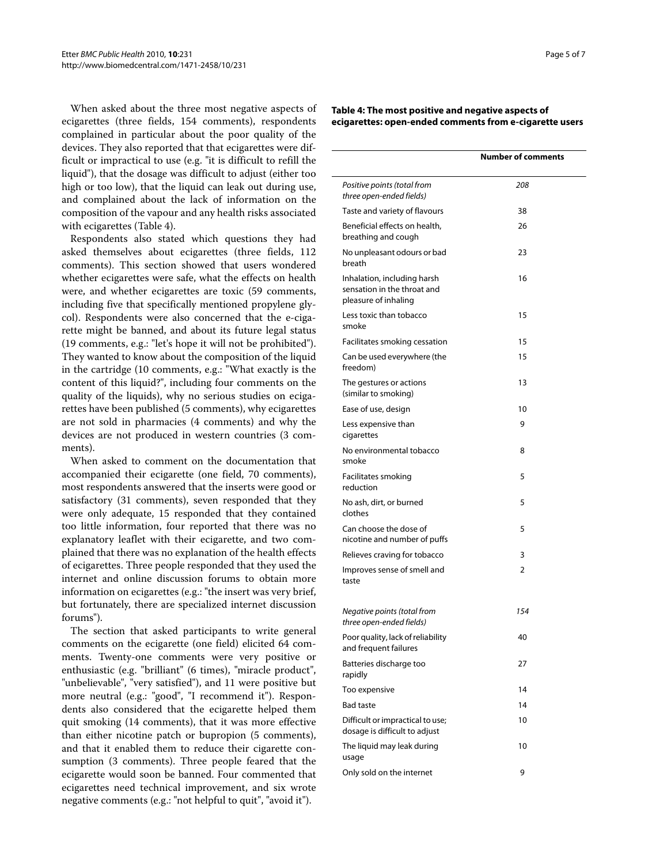When asked about the three most negative aspects of ecigarettes (three fields, 154 comments), respondents complained in particular about the poor quality of the devices. They also reported that that ecigarettes were difficult or impractical to use (e.g. "it is difficult to refill the liquid"), that the dosage was difficult to adjust (either too high or too low), that the liquid can leak out during use, and complained about the lack of information on the composition of the vapour and any health risks associated with ecigarettes (Table 4).

Respondents also stated which questions they had asked themselves about ecigarettes (three fields, 112 comments). This section showed that users wondered whether ecigarettes were safe, what the effects on health were, and whether ecigarettes are toxic (59 comments, including five that specifically mentioned propylene glycol). Respondents were also concerned that the e-cigarette might be banned, and about its future legal status (19 comments, e.g.: "let's hope it will not be prohibited"). They wanted to know about the composition of the liquid in the cartridge (10 comments, e.g.: "What exactly is the content of this liquid?", including four comments on the quality of the liquids), why no serious studies on ecigarettes have been published (5 comments), why ecigarettes are not sold in pharmacies (4 comments) and why the devices are not produced in western countries (3 comments).

When asked to comment on the documentation that accompanied their ecigarette (one field, 70 comments), most respondents answered that the inserts were good or satisfactory (31 comments), seven responded that they were only adequate, 15 responded that they contained too little information, four reported that there was no explanatory leaflet with their ecigarette, and two complained that there was no explanation of the health effects of ecigarettes. Three people responded that they used the internet and online discussion forums to obtain more information on ecigarettes (e.g.: "the insert was very brief, but fortunately, there are specialized internet discussion forums").

The section that asked participants to write general comments on the ecigarette (one field) elicited 64 comments. Twenty-one comments were very positive or enthusiastic (e.g. "brilliant" (6 times), "miracle product", "unbelievable", "very satisfied"), and 11 were positive but more neutral (e.g.: "good", "I recommend it"). Respondents also considered that the ecigarette helped them quit smoking (14 comments), that it was more effective than either nicotine patch or bupropion (5 comments), and that it enabled them to reduce their cigarette consumption (3 comments). Three people feared that the ecigarette would soon be banned. Four commented that ecigarettes need technical improvement, and six wrote negative comments (e.g.: "not helpful to quit", "avoid it").

## **Table 4: The most positive and negative aspects of ecigarettes: open-ended comments from e-cigarette users**

|                                                                                    | <b>Number of comments</b> |
|------------------------------------------------------------------------------------|---------------------------|
| Positive points (total from<br>three open-ended fields)                            | 208                       |
| Taste and variety of flavours                                                      | 38                        |
| Beneficial effects on health,<br>breathing and cough                               | 26                        |
| No unpleasant odours or bad<br>breath                                              | 23                        |
| Inhalation, including harsh<br>sensation in the throat and<br>pleasure of inhaling | 16                        |
| Less toxic than tobacco<br>smoke                                                   | 15                        |
| Facilitates smoking cessation                                                      | 15                        |
| Can be used everywhere (the<br>freedom)                                            | 15                        |
| The gestures or actions<br>(similar to smoking)                                    | 13                        |
| Ease of use, design                                                                | 10                        |
| Less expensive than<br>cigarettes                                                  | 9                         |
| No environmental tobacco<br>smoke                                                  | 8                         |
| Facilitates smoking<br>reduction                                                   | 5                         |
| No ash, dirt, or burned<br>clothes                                                 | 5                         |
| Can choose the dose of<br>nicotine and number of puffs                             | 5                         |
| Relieves craving for tobacco                                                       | 3                         |
| Improves sense of smell and<br>taste                                               | $\overline{2}$            |
| Negative points (total from<br>three open-ended fields)                            | 154                       |
| Poor quality, lack of reliability<br>and frequent failures                         | 40                        |
| Batteries discharge too<br>rapidly                                                 | 27                        |
| Too expensive                                                                      | 14                        |
| <b>Bad taste</b>                                                                   | 14                        |
| Difficult or impractical to use;<br>dosage is difficult to adjust                  | 10                        |
| The liquid may leak during<br>usage                                                | 10                        |
| Only sold on the internet                                                          | 9                         |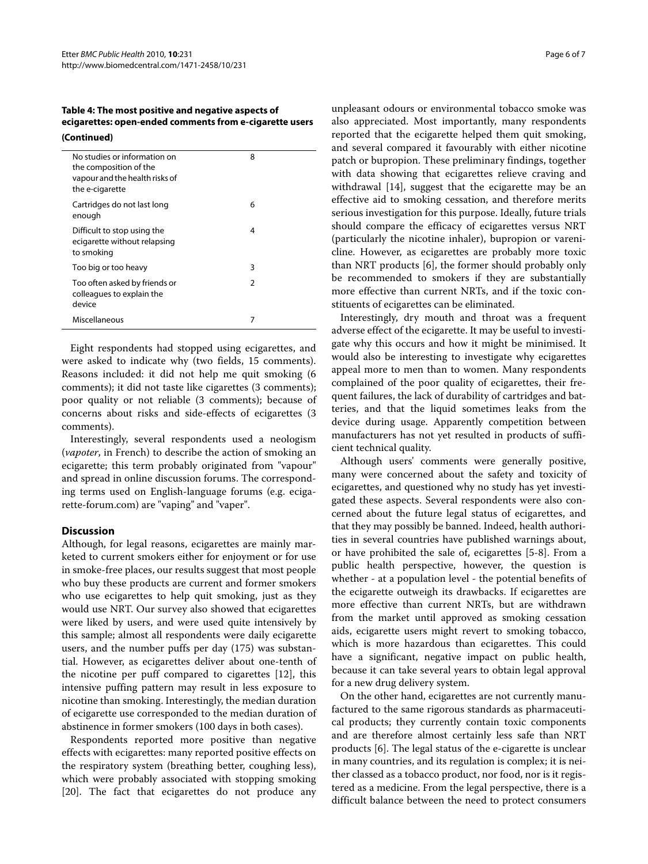## **Table 4: The most positive and negative aspects of ecigarettes: open-ended comments from e-cigarette users (Continued)**

| No studies or information on<br>the composition of the<br>vapour and the health risks of<br>the e-cigarette | 8             |  |
|-------------------------------------------------------------------------------------------------------------|---------------|--|
| Cartridges do not last long<br>enough                                                                       | 6             |  |
| Difficult to stop using the<br>ecigarette without relapsing<br>to smoking                                   | 4             |  |
| Too big or too heavy                                                                                        | 3             |  |
| Too often asked by friends or<br>colleagues to explain the<br>device                                        | $\mathcal{P}$ |  |
| Miscellaneous                                                                                               | 7             |  |

Eight respondents had stopped using ecigarettes, and were asked to indicate why (two fields, 15 comments). Reasons included: it did not help me quit smoking (6 comments); it did not taste like cigarettes (3 comments); poor quality or not reliable (3 comments); because of concerns about risks and side-effects of ecigarettes (3 comments).

Interestingly, several respondents used a neologism (*vapoter*, in French) to describe the action of smoking an ecigarette; this term probably originated from "vapour" and spread in online discussion forums. The corresponding terms used on English-language forums (e.g. ecigarette-forum.com) are "vaping" and "vaper".

## **Discussion**

Although, for legal reasons, ecigarettes are mainly marketed to current smokers either for enjoyment or for use in smoke-free places, our results suggest that most people who buy these products are current and former smokers who use ecigarettes to help quit smoking, just as they would use NRT. Our survey also showed that ecigarettes were liked by users, and were used quite intensively by this sample; almost all respondents were daily ecigarette users, and the number puffs per day (175) was substantial. However, as ecigarettes deliver about one-tenth of the nicotine per puff compared to cigarettes [[12\]](#page-6-9), this intensive puffing pattern may result in less exposure to nicotine than smoking. Interestingly, the median duration of ecigarette use corresponded to the median duration of abstinence in former smokers (100 days in both cases).

Respondents reported more positive than negative effects with ecigarettes: many reported positive effects on the respiratory system (breathing better, coughing less), which were probably associated with stopping smoking [[20\]](#page-6-19). The fact that ecigarettes do not produce any

unpleasant odours or environmental tobacco smoke was also appreciated. Most importantly, many respondents reported that the ecigarette helped them quit smoking, and several compared it favourably with either nicotine patch or bupropion. These preliminary findings, together with data showing that ecigarettes relieve craving and withdrawal [[14\]](#page-6-11), suggest that the ecigarette may be an effective aid to smoking cessation, and therefore merits serious investigation for this purpose. Ideally, future trials should compare the efficacy of ecigarettes versus NRT (particularly the nicotine inhaler), bupropion or varenicline. However, as ecigarettes are probably more toxic than NRT products [[6](#page-6-3)], the former should probably only be recommended to smokers if they are substantially more effective than current NRTs, and if the toxic constituents of ecigarettes can be eliminated.

Interestingly, dry mouth and throat was a frequent adverse effect of the ecigarette. It may be useful to investigate why this occurs and how it might be minimised. It would also be interesting to investigate why ecigarettes appeal more to men than to women. Many respondents complained of the poor quality of ecigarettes, their frequent failures, the lack of durability of cartridges and batteries, and that the liquid sometimes leaks from the device during usage. Apparently competition between manufacturers has not yet resulted in products of sufficient technical quality.

Although users' comments were generally positive, many were concerned about the safety and toxicity of ecigarettes, and questioned why no study has yet investigated these aspects. Several respondents were also concerned about the future legal status of ecigarettes, and that they may possibly be banned. Indeed, health authorities in several countries have published warnings about, or have prohibited the sale of, ecigarettes [\[5](#page-6-2)-[8\]](#page-6-5). From a public health perspective, however, the question is whether - at a population level - the potential benefits of the ecigarette outweigh its drawbacks. If ecigarettes are more effective than current NRTs, but are withdrawn from the market until approved as smoking cessation aids, ecigarette users might revert to smoking tobacco, which is more hazardous than ecigarettes. This could have a significant, negative impact on public health, because it can take several years to obtain legal approval for a new drug delivery system.

On the other hand, ecigarettes are not currently manufactured to the same rigorous standards as pharmaceutical products; they currently contain toxic components and are therefore almost certainly less safe than NRT products [\[6\]](#page-6-3). The legal status of the e-cigarette is unclear in many countries, and its regulation is complex; it is neither classed as a tobacco product, nor food, nor is it registered as a medicine. From the legal perspective, there is a difficult balance between the need to protect consumers